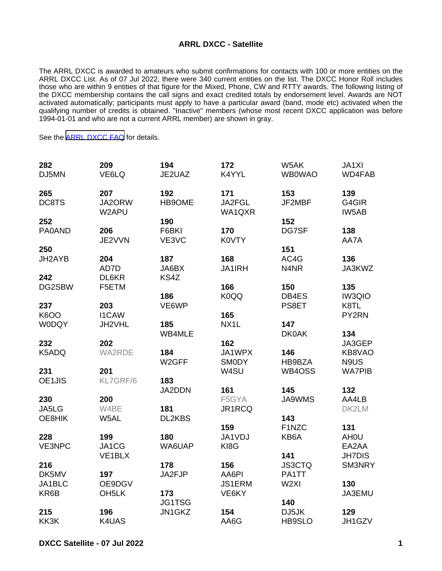## **ARRL DXCC - Satellite**

The ARRL DXCC is awarded to amateurs who submit confirmations for contacts with 100 or more entities on the ARRL DXCC List. As of 07 Jul 2022, there were 340 current entities on the list. The DXCC Honor Roll includes those who are within 9 entities of that figure for the Mixed, Phone, CW and RTTY awards. The following listing of the DXCC membership contains the call signs and exact credited totals by endorsement level. Awards are NOT activated automatically; participants must apply to have a particular award (band, mode etc) activated when the qualifying number of credits is obtained. "Inactive" members (whose most recent DXCC application was before 1994-01-01 and who are not a current ARRL member) are shown in gray.

See the [ARRL DXCC FAQ](http://www.arrl.org/dxcc-faq/) for details.

| 282           | 209                 | 194                       | 172                    | W5AK             | JA1XI                |
|---------------|---------------------|---------------------------|------------------------|------------------|----------------------|
| DJ5MN         | VE6LQ               | JE2UAZ                    | K4YYL                  | <b>WB0WAO</b>    | WD4FAB               |
| 265           | 207                 | 192                       | 171                    | 153              | 139                  |
| DC8TS         | JA2ORW<br>W2APU     | HB9OME                    | JA2FGL<br>WA1QXR       | JF2MBF           | G4GIR<br>IW5AB       |
| 252           |                     | 190                       |                        | 152              |                      |
| <b>PA0AND</b> | 206<br>JE2VVN       | F6BKI<br>VE3VC            | 170<br><b>K0VTY</b>    | DG7SF            | 138<br>AA7A          |
| 250           |                     |                           |                        | 151              |                      |
| JH2AYB        | 204<br>AD7D         | 187<br>JA6BX              | 168<br><b>JA1IRH</b>   | AC4G<br>N4NR     | 136<br>JA3KWZ        |
| 242           | DL6KR               | KS4Z                      |                        |                  |                      |
| DG2SBW        | F5ETM               | 186                       | 166<br>K0QQ            | 150<br>DB4ES     | 135<br><b>IW3QIO</b> |
| 237           | 203                 | VE6WP                     |                        | PS8ET            | K8TL                 |
| <b>K6OO</b>   | <b>I1CAW</b>        |                           | 165                    |                  | PY2RN                |
| <b>WODQY</b>  | JH2VHL              | 185                       | NX1L                   | 147              |                      |
|               |                     | WB4MLE                    |                        | <b>DK0AK</b>     | 134                  |
| 232           | 202                 |                           | 162                    |                  | JA3GEP               |
| K5ADQ         | <b>WA2RDE</b>       | 184<br>W <sub>2</sub> GFF | JA1WPX<br><b>SMODY</b> | 146<br>HB9BZA    | KB8VAO<br>N9US       |
| 231           | 201                 |                           | W4SU                   | WB4OSS           | <b>WA7PIB</b>        |
| OE1JIS        | KL7GRF/6            | 183<br>JA2DDN             | 161                    | 145              | 132                  |
| 230           | 200                 |                           | F5GYA                  | JA9WMS           | AA4LB                |
| JA5LG         | W4BE                | 181                       | JR1RCQ                 |                  | DK2LM                |
| OE8HIK        | W5AL                | DL2KBS                    |                        | 143              |                      |
|               |                     |                           | 159                    | F1NZC            | 131                  |
| 228           | 199                 | 180                       | JA1VDJ                 | KB6A             | AH <sub>0</sub> U    |
| VE3NPC        | JA1CG               | WA6UAP                    | KI8G                   |                  | EA2AA                |
|               | VE <sub>1</sub> BLX |                           |                        | 141              | <b>JH7DIS</b>        |
| 216           |                     | 178                       | 156                    | <b>JS3CTQ</b>    | SM3NRY               |
| DK5MV         | 197                 | JA2FJP                    | AA6PI                  | PA1TT            |                      |
| JA1BLC        | OE9DGV              |                           | JS1ERM                 | W <sub>2XI</sub> | 130                  |
| KR6B          | OH <sub>5</sub> LK  | 173                       | VE6KY                  |                  | JA3EMU               |
|               |                     | JG1TSG                    |                        | 140              |                      |
| 215<br>KK3K   | 196<br>K4UAS        | JN1GKZ                    | 154<br>AA6G            | DJ5JK<br>HB9SLO  | 129<br>JH1GZV        |